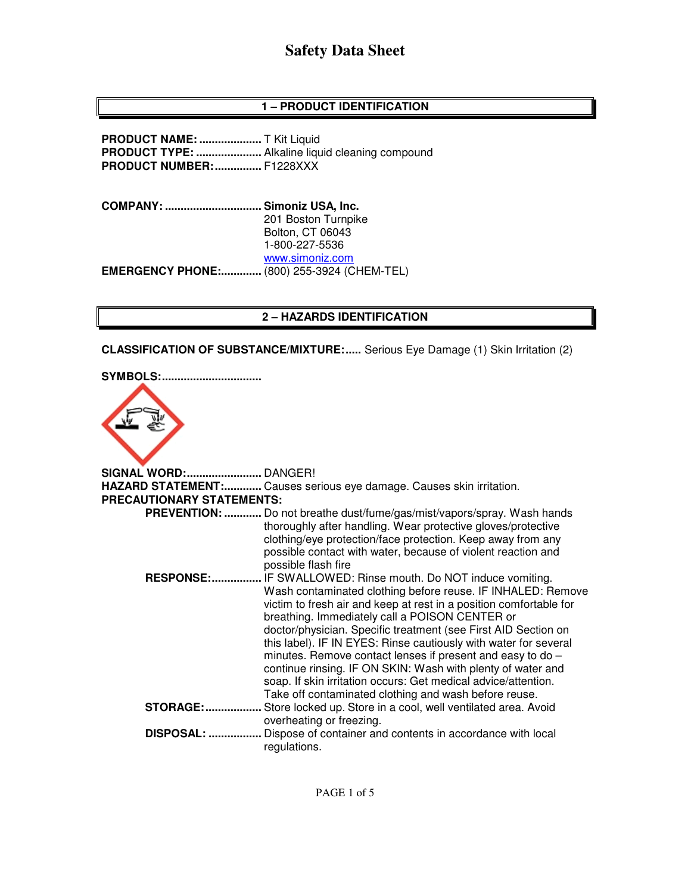# **1 – PRODUCT IDENTIFICATION**

**PRODUCT NAME: ....................** T Kit Liquid **PRODUCT TYPE: ......................** Alkaline liquid cleaning compound **PRODUCT NUMBER: ...............** F1228XXX

**COMPANY: ............................... Simoniz USA, Inc.** 201 Boston Turnpike Bolton, CT 06043 1-800-227-5536 www.simoniz.com **EMERGENCY PHONE:.............** (800) 255-3924 (CHEM-TEL)

# **2 – HAZARDS IDENTIFICATION**

**CLASSIFICATION OF SUBSTANCE/MIXTURE:.....** Serious Eye Damage (1) Skin Irritation (2)

**SYMBOLS: ................................** 



**SIGNAL WORD: ........................** DANGER! **HAZARD STATEMENT: ............** Causes serious eye damage. Causes skin irritation. **PRECAUTIONARY STATEMENTS: PREVENTION: ............** Do not breathe dust/fume/gas/mist/vapors/spray. Wash hands thoroughly after handling. Wear protective gloves/protective clothing/eye protection/face protection. Keep away from any possible contact with water, because of violent reaction and possible flash fire  **RESPONSE: ................** IF SWALLOWED: Rinse mouth. Do NOT induce vomiting. Wash contaminated clothing before reuse. IF INHALED: Remove victim to fresh air and keep at rest in a position comfortable for breathing. Immediately call a POISON CENTER or doctor/physician. Specific treatment (see First AID Section on this label). IF IN EYES: Rinse cautiously with water for several minutes. Remove contact lenses if present and easy to do – continue rinsing. IF ON SKIN: Wash with plenty of water and soap. If skin irritation occurs: Get medical advice/attention. Take off contaminated clothing and wash before reuse. **STORAGE: ..................** Store locked up. Store in a cool, well ventilated area. Avoid overheating or freezing.  **DISPOSAL: .................** Dispose of container and contents in accordance with local regulations.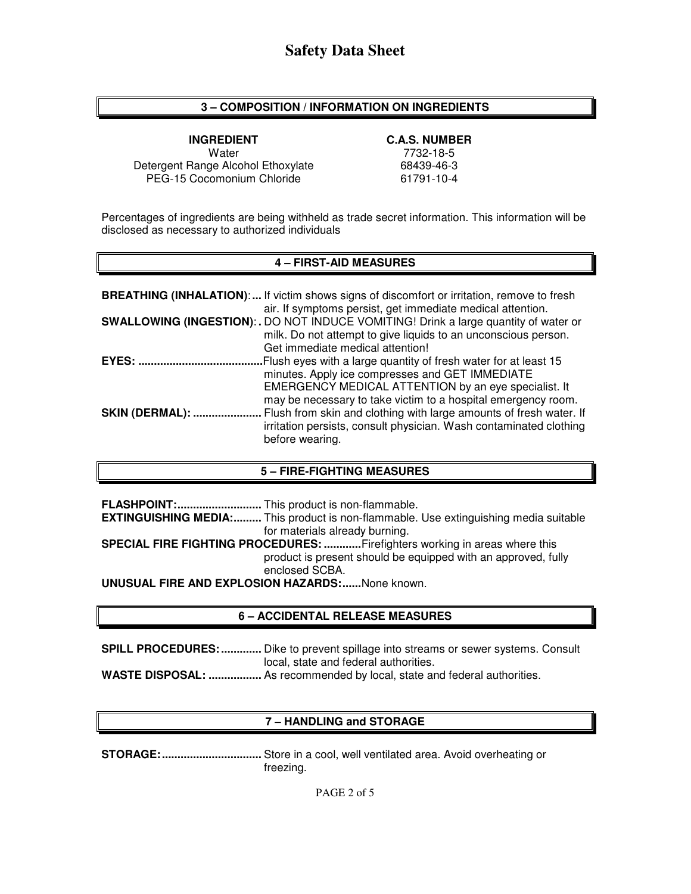# **3 – COMPOSITION / INFORMATION ON INGREDIENTS**

Water 7732-18-5<br>ge Alcohol Ethoxylate 68439-46-3 Detergent Range Alcohol Ethoxylate PEG-15 Cocomonium Chloride 61791-10-4

#### **INGREDIENT C.A.S. NUMBER**

Percentages of ingredients are being withheld as trade secret information. This information will be disclosed as necessary to authorized individuals

## **4 – FIRST-AID MEASURES**

|                        | <b>BREATHING (INHALATION):</b> If victim shows signs of discomfort or irritation, remove to fresh<br>air. If symptoms persist, get immediate medical attention.                                                                             |
|------------------------|---------------------------------------------------------------------------------------------------------------------------------------------------------------------------------------------------------------------------------------------|
|                        | SWALLOWING (INGESTION): . DO NOT INDUCE VOMITING! Drink a large quantity of water or<br>milk. Do not attempt to give liquids to an unconscious person.<br>Get immediate medical attention!                                                  |
| EYES:                  | Flush eyes with a large quantity of fresh water for at least 15<br>minutes. Apply ice compresses and GET IMMEDIATE<br>EMERGENCY MEDICAL ATTENTION by an eye specialist. It<br>may be necessary to take victim to a hospital emergency room. |
| <b>SKIN (DERMAL): </b> | Flush from skin and clothing with large amounts of fresh water. If<br>irritation persists, consult physician. Wash contaminated clothing<br>before wearing.                                                                                 |

## **5 – FIRE-FIGHTING MEASURES**

**FLASHPOINT: ...........................** This product is non-flammable. **EXTINGUISHING MEDIA: .........** This product is non-flammable. Use extinguishing media suitable for materials already burning. **SPECIAL FIRE FIGHTING PROCEDURES: ............** Firefighters working in areas where this product is present should be equipped with an approved, fully enclosed SCBA.

**UNUSUAL FIRE AND EXPLOSION HAZARDS: ......** None known.

## **6 – ACCIDENTAL RELEASE MEASURES**

**SPILL PROCEDURES: .............** Dike to prevent spillage into streams or sewer systems. Consult local, state and federal authorities. **WASTE DISPOSAL: .................** As recommended by local, state and federal authorities.

# **7 – HANDLING and STORAGE**

**STORAGE: ................................** Store in a cool, well ventilated area. Avoid overheating or freezing.

PAGE 2 of 5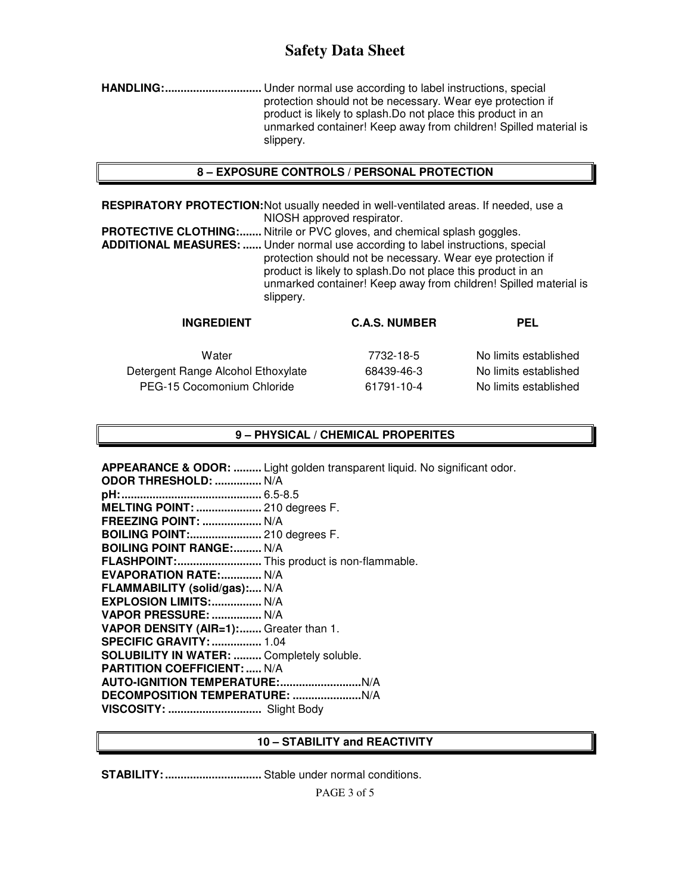# **Safety Data Sheet**

**HANDLING: ...............................** Under normal use according to label instructions, special protection should not be necessary. Wear eye protection if product is likely to splash.Do not place this product in an unmarked container! Keep away from children! Spilled material is slippery.

## **8 – EXPOSURE CONTROLS / PERSONAL PROTECTION**

**RESPIRATORY PROTECTION:** Not usually needed in well-ventilated areas. If needed, use a NIOSH approved respirator.

**PROTECTIVE CLOTHING:.......** Nitrile or PVC gloves, and chemical splash goggles. **ADDITIONAL MEASURES: ......** Under normal use according to label instructions, special protection should not be necessary. Wear eye protection if product is likely to splash.Do not place this product in an unmarked container! Keep away from children! Spilled material is slippery.

| <b>C.A.S. NUMBER</b> | PEL                   |
|----------------------|-----------------------|
| 7732-18-5            | No limits established |
| 68439-46-3           | No limits established |
| 61791-10-4           | No limits established |
|                      |                       |

# **9 – PHYSICAL / CHEMICAL PROPERITES**

**APPEARANCE & ODOR: .........** Light golden transparent liquid. No significant odor.

| ODOR THRESHOLD:  N/A                             |  |
|--------------------------------------------------|--|
|                                                  |  |
| MELTING POINT:  210 degrees F.                   |  |
| FREEZING POINT:  N/A                             |  |
| BOILING POINT: 210 degrees F.                    |  |
| <b>BOILING POINT RANGE: N/A</b>                  |  |
| FLASHPOINT: This product is non-flammable.       |  |
| <b>EVAPORATION RATE: N/A</b>                     |  |
| FLAMMABILITY (solid/gas): N/A                    |  |
| EXPLOSION LIMITS:  N/A                           |  |
| VAPOR PRESSURE:  N/A                             |  |
| VAPOR DENSITY (AIR=1): Greater than 1.           |  |
| <b>SPECIFIC GRAVITY:  1.04</b>                   |  |
| <b>SOLUBILITY IN WATER:  Completely soluble.</b> |  |
| <b>PARTITION COEFFICIENT:  N/A</b>               |  |
|                                                  |  |
|                                                  |  |
|                                                  |  |
|                                                  |  |

## **10 – STABILITY and REACTIVITY**

**STABILITY: ...............................** Stable under normal conditions.

PAGE 3 of 5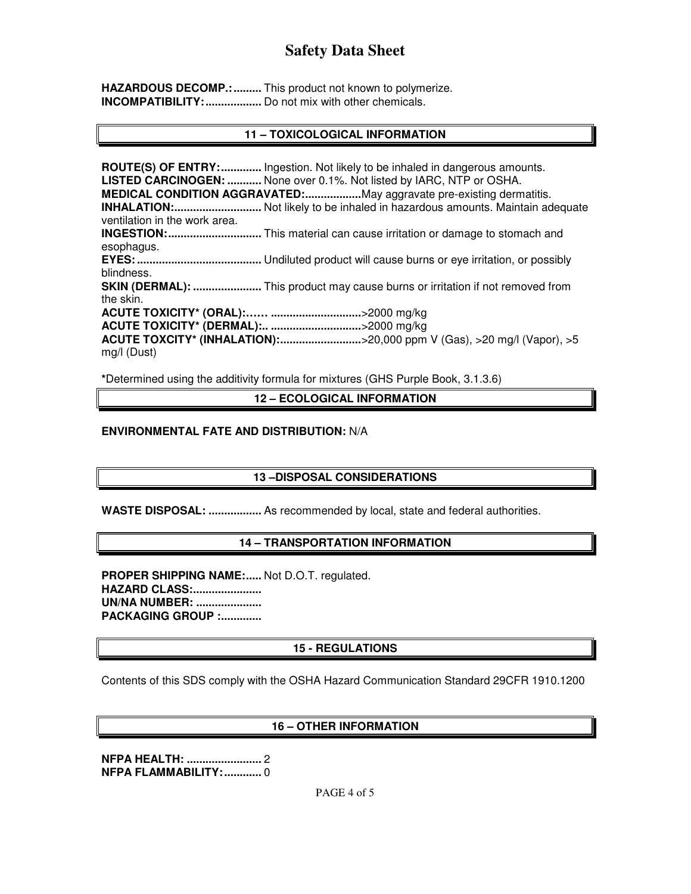# **Safety Data Sheet**

**HAZARDOUS DECOMP.: .........** This product not known to polymerize. **INCOMPATIBILITY: ..................** Do not mix with other chemicals.

# **11 – TOXICOLOGICAL INFORMATION**

**ROUTE(S) OF ENTRY: .............** Ingestion. Not likely to be inhaled in dangerous amounts. **LISTED CARCINOGEN: ...........** None over 0.1%. Not listed by IARC, NTP or OSHA. **MEDICAL CONDITION AGGRAVATED: ..................** May aggravate pre-existing dermatitis. **INHALATION: ............................** Not likely to be inhaled in hazardous amounts. Maintain adequate ventilation in the work area. **INGESTION: ..............................** This material can cause irritation or damage to stomach and esophagus. **EYES: ........................................** Undiluted product will cause burns or eye irritation, or possibly blindness. **SKIN (DERMAL): ......................** This product may cause burns or irritation if not removed from the skin. **ACUTE TOXICITY\* (ORAL):…… .............................** >2000 mg/kg **ACUTE TOXICITY\* (DERMAL):.. .............................** >2000 mg/kg **ACUTE TOXCITY\* (INHALATION): ..........................** >20,000 ppm V (Gas), >20 mg/l (Vapor), >5 mg/l (Dust)

**\***Determined using the additivity formula for mixtures (GHS Purple Book, 3.1.3.6)

**12 – ECOLOGICAL INFORMATION** 

## **ENVIRONMENTAL FATE AND DISTRIBUTION:** N/A

## **13 –DISPOSAL CONSIDERATIONS**

**WASTE DISPOSAL: .................** As recommended by local, state and federal authorities.

## **14 – TRANSPORTATION INFORMATION**

**PROPER SHIPPING NAME:..... Not D.O.T. regulated. HAZARD CLASS:...................... UN/NA NUMBER: ..................... PACKAGING GROUP :.............** 

# **15 - REGULATIONS**

Contents of this SDS comply with the OSHA Hazard Communication Standard 29CFR 1910.1200

# **16 – OTHER INFORMATION**

**NFPA HEALTH: ........................** 2 **NFPA FLAMMABILITY: ............** 0